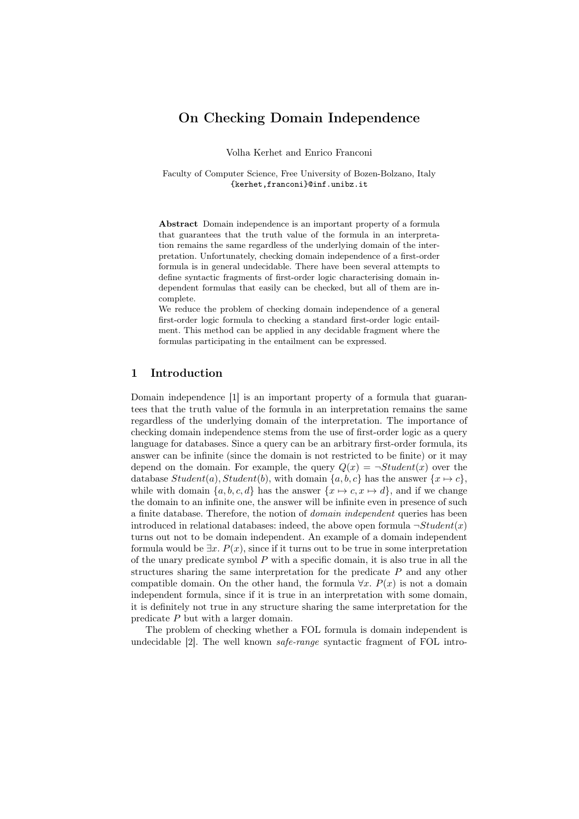# On Checking Domain Independence

Volha Kerhet and Enrico Franconi

Faculty of Computer Science, Free University of Bozen-Bolzano, Italy {kerhet,franconi}@inf.unibz.it

Abstract Domain independence is an important property of a formula that guarantees that the truth value of the formula in an interpretation remains the same regardless of the underlying domain of the interpretation. Unfortunately, checking domain independence of a first-order formula is in general undecidable. There have been several attempts to define syntactic fragments of first-order logic characterising domain independent formulas that easily can be checked, but all of them are incomplete.

We reduce the problem of checking domain independence of a general first-order logic formula to checking a standard first-order logic entailment. This method can be applied in any decidable fragment where the formulas participating in the entailment can be expressed.

## 1 Introduction

Domain independence [1] is an important property of a formula that guarantees that the truth value of the formula in an interpretation remains the same regardless of the underlying domain of the interpretation. The importance of checking domain independence stems from the use of first-order logic as a query language for databases. Since a query can be an arbitrary first-order formula, its answer can be infinite (since the domain is not restricted to be finite) or it may depend on the domain. For example, the query  $Q(x) = \neg Student(x)$  over the database  $Student(a)$ ,  $Student(b)$ , with domain  $\{a, b, c\}$  has the answer  $\{x \mapsto c\}$ , while with domain  $\{a, b, c, d\}$  has the answer  $\{x \mapsto c, x \mapsto d\}$ , and if we change the domain to an infinite one, the answer will be infinite even in presence of such a finite database. Therefore, the notion of domain independent queries has been introduced in relational databases: indeed, the above open formula  $\neg Student(x)$ turns out not to be domain independent. An example of a domain independent formula would be  $\exists x. P(x)$ , since if it turns out to be true in some interpretation of the unary predicate symbol  $P$  with a specific domain, it is also true in all the structures sharing the same interpretation for the predicate  $P$  and any other compatible domain. On the other hand, the formula  $\forall x$ .  $P(x)$  is not a domain independent formula, since if it is true in an interpretation with some domain, it is definitely not true in any structure sharing the same interpretation for the predicate P but with a larger domain.

The problem of checking whether a FOL formula is domain independent is undecidable [2]. The well known safe-range syntactic fragment of FOL intro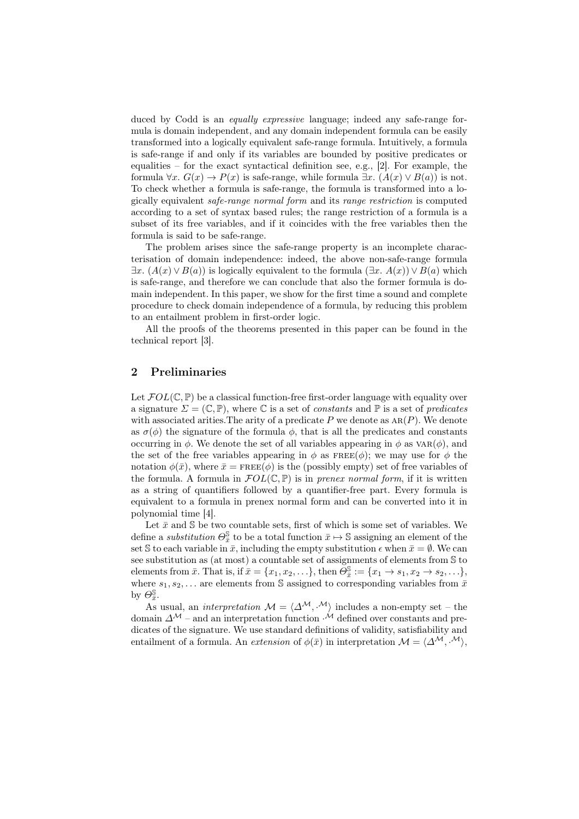duced by Codd is an *equally expressive* language; indeed any safe-range formula is domain independent, and any domain independent formula can be easily transformed into a logically equivalent safe-range formula. Intuitively, a formula is safe-range if and only if its variables are bounded by positive predicates or equalities – for the exact syntactical definition see, e.g., [2]. For example, the formula  $\forall x. G(x) \rightarrow P(x)$  is safe-range, while formula  $\exists x. (A(x) \vee B(a))$  is not. To check whether a formula is safe-range, the formula is transformed into a logically equivalent safe-range normal form and its range restriction is computed according to a set of syntax based rules; the range restriction of a formula is a subset of its free variables, and if it coincides with the free variables then the formula is said to be safe-range.

The problem arises since the safe-range property is an incomplete characterisation of domain independence: indeed, the above non-safe-range formula  $\exists x. (A(x) \vee B(a))$  is logically equivalent to the formula  $(\exists x. A(x)) \vee B(a)$  which is safe-range, and therefore we can conclude that also the former formula is domain independent. In this paper, we show for the first time a sound and complete procedure to check domain independence of a formula, by reducing this problem to an entailment problem in first-order logic.

All the proofs of the theorems presented in this paper can be found in the technical report [3].

# 2 Preliminaries

Let  $FOL(\mathbb{C}, \mathbb{P})$  be a classical function-free first-order language with equality over a signature  $\Sigma = (\mathbb{C}, \mathbb{P})$ , where  $\mathbb C$  is a set of constants and  $\mathbb P$  is a set of predicates with associated arities. The arity of a predicate  $P$  we denote as  $AR(P)$ . We denote as  $\sigma(\phi)$  the signature of the formula  $\phi$ , that is all the predicates and constants occurring in  $\phi$ . We denote the set of all variables appearing in  $\phi$  as  $VAR(\phi)$ , and the set of the free variables appearing in  $\phi$  as FREE( $\phi$ ); we may use for  $\phi$  the notation  $\phi(\bar{x})$ , where  $\bar{x} = \text{FREE}(\phi)$  is the (possibly empty) set of free variables of the formula. A formula in  $\mathcal{F}OL(\mathbb{C}, \mathbb{P})$  is in prenex normal form, if it is written as a string of quantifiers followed by a quantifier-free part. Every formula is equivalent to a formula in prenex normal form and can be converted into it in polynomial time [4].

Let  $\bar{x}$  and  $\bar{S}$  be two countable sets, first of which is some set of variables. We define a *substitution*  $\Theta_{\bar{x}}^{\mathbb{S}}$  to be a total function  $\bar{x} \mapsto \mathbb{S}$  assigning an element of the set S to each variable in  $\bar{x}$ , including the empty substitution  $\epsilon$  when  $\bar{x} = \emptyset$ . We can see substitution as (at most) a countable set of assignments of elements from S to elements from  $\bar{x}$ . That is, if  $\bar{x} = \{x_1, x_2, \ldots\}$ , then  $\tilde{\Theta}_{\bar{x}}^{\mathbb{S}} := \{x_1 \to s_1, x_2 \to s_2, \ldots\}$ , where  $s_1, s_2, \ldots$  are elements from S assigned to corresponding variables from  $\overline{x}$ by  $\Theta_{\bar{x}}^{\mathbb{S}}$ .

As usual, an *interpretation*  $\mathcal{M} = \langle \Delta^{\mathcal{M}}, \cdot^{\mathcal{M}} \rangle$  includes a non-empty set – the domain  $\Delta^{\mathcal{M}}$  – and an interpretation function  $\mathcal{M}$  defined over constants and predicates of the signature. We use standard definitions of validity, satisfiability and entailment of a formula. An extension of  $\phi(\bar{x})$  in interpretation  $\mathcal{M} = \langle \Delta^{\mathcal{M}}, \cdot^{\mathcal{M}} \rangle$ ,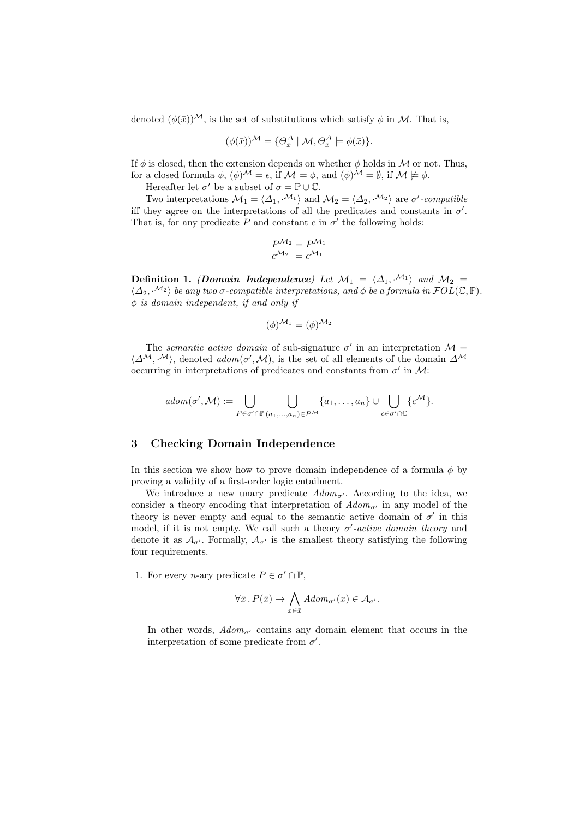denoted  $(\phi(\bar{x}))^{\mathcal{M}}$ , is the set of substitutions which satisfy  $\phi$  in M. That is,

$$
(\phi(\bar{x}))^{\mathcal{M}} = \{ \Theta_{\bar{x}}^{\Delta} \mid \mathcal{M}, \Theta_{\bar{x}}^{\Delta} \models \phi(\bar{x}) \}.
$$

If  $\phi$  is closed, then the extension depends on whether  $\phi$  holds in M or not. Thus, for a closed formula  $\phi$ ,  $(\phi)^{\mathcal{M}} = \epsilon$ , if  $\mathcal{M} \models \phi$ , and  $(\phi)^{\mathcal{M}} = \emptyset$ , if  $\mathcal{M} \not\models \phi$ .

Hereafter let  $\sigma'$  be a subset of  $\sigma = \mathbb{P} \cup \mathbb{C}$ .

Two interpretations  $\mathcal{M}_1 = \langle \Delta_1, \cdot^{\mathcal{M}_1} \rangle$  and  $\mathcal{M}_2 = \langle \Delta_2, \cdot^{\mathcal{M}_2} \rangle$  are  $\sigma'$ -compatible iff they agree on the interpretations of all the predicates and constants in  $\sigma'$ . That is, for any predicate P and constant  $c$  in  $\sigma'$  the following holds:

$$
P^{\mathcal{M}_2} = P^{\mathcal{M}_1}
$$

$$
c^{\mathcal{M}_2} = c^{\mathcal{M}_1}
$$

Definition 1. (Domain Independence) Let  $\mathcal{M}_1 = \langle \Delta_1, \cdot^{\mathcal{M}_1} \rangle$  and  $\mathcal{M}_2 =$  $\langle \Delta_2, {\mathcal{M}}_2 \rangle$  be any two  $\sigma$ -compatible interpretations, and  $\phi$  be a formula in  $FOL(\mathbb{C}, \mathbb{P})$ .  $\phi$  is domain independent, if and only if

$$
(\phi)^{\mathcal{M}_1} = (\phi)^{\mathcal{M}_2}
$$

The semantic active domain of sub-signature  $\sigma'$  in an interpretation  $\mathcal{M} =$  $\langle \Delta^{\mathcal{M}}, \cdot^{\mathcal{M}} \rangle$ , denoted  $\alpha \text{dom}(\sigma', \mathcal{M})$ , is the set of all elements of the domain  $\Delta^{\mathcal{M}}$ occurring in interpretations of predicates and constants from  $\sigma'$  in M:

$$
adom(\sigma', \mathcal{M}) := \bigcup_{P \in \sigma' \cap \mathbb{P}} \bigcup_{(a_1, \ldots, a_n) \in P^{\mathcal{M}}} \{a_1, \ldots, a_n\} \cup \bigcup_{c \in \sigma' \cap \mathbb{C}} \{c^{\mathcal{M}}\}.
$$

### 3 Checking Domain Independence

In this section we show how to prove domain independence of a formula  $\phi$  by proving a validity of a first-order logic entailment.

We introduce a new unary predicate  $Adom_{\sigma'}$ . According to the idea, we consider a theory encoding that interpretation of  $Adom_{\sigma'}$  in any model of the theory is never empty and equal to the semantic active domain of  $\sigma'$  in this model, if it is not empty. We call such a theory  $\sigma'$ -active domain theory and denote it as  $\mathcal{A}_{\tau}$ . Formally,  $\mathcal{A}_{\tau}$  is the smallest theory satisfying the following four requirements.

1. For every *n*-ary predicate  $P \in \sigma' \cap \mathbb{P}$ ,

$$
\forall \bar{x} \, . \, P(\bar{x}) \to \bigwedge_{x \in \bar{x}} \, Adom_{\sigma'}(x) \in \mathcal{A}_{\sigma'}.
$$

In other words,  $Adom_{\sigma'}$  contains any domain element that occurs in the interpretation of some predicate from  $\sigma'$ .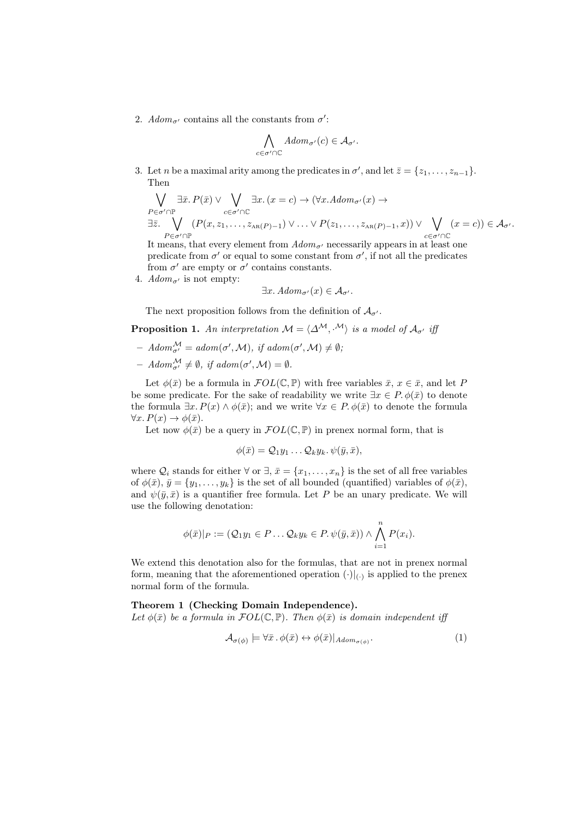2.  $Adom_{\sigma'}$  contains all the constants from  $\sigma'$ :

$$
\bigwedge_{c \in \sigma' \cap \mathbb{C}} Adom_{\sigma'}(c) \in \mathcal{A}_{\sigma'}.
$$

3. Let *n* be a maximal arity among the predicates in  $\sigma'$ , and let  $\bar{z} = \{z_1, \ldots, z_{n-1}\}.$ Then

$$
\bigvee_{P \in \sigma' \cap \mathbb{P}} \exists \bar{x}. P(\bar{x}) \vee \bigvee_{c \in \sigma' \cap \mathbb{C}} \exists x. (x = c) \to (\forall x. Adom_{\sigma'}(x) \to
$$
\n
$$
\exists \bar{z}. \bigvee_{P \in \sigma' \cap \mathbb{P}} (P(x, z_1, \dots, z_{AR(P)-1}) \vee \dots \vee P(z_1, \dots, z_{AR(P)-1}, x)) \vee \bigvee_{c \in \sigma' \cap \mathbb{C}} (x = c)) \in \mathcal{A}_{\sigma'}
$$
\nIt means that every element from  $Adom_{\sigma'}$  necessarily appears in at least one

It means, that every element from  $Adom_{\sigma'}$  necessarily appears in at least one predicate from  $\sigma'$  or equal to some constant from  $\sigma'$ , if not all the predicates from  $\sigma'$  are empty or  $\sigma'$  contains constants.

4.  $Adom_{\sigma'}$  is not empty:

 $\exists x. \, Adom_{\sigma'}(x) \in \mathcal{A}_{\sigma'}$ .

The next proposition follows from the definition of  $A_{\sigma}$ .

**Proposition 1.** An interpretation  $\mathcal{M} = \langle \Delta^{\mathcal{M}}, \cdot^{\mathcal{M}} \rangle$  is a model of  $\mathcal{A}_{\sigma'}$  iff

- $Adom_{\sigma'}^{\mathcal{M}} = adom(\sigma', \mathcal{M}), \text{ if } adom(\sigma', \mathcal{M}) \neq \emptyset,$
- $Adom_{\sigma'}^{\mathcal{M}} \neq \emptyset$ , if  $adom(\sigma', \mathcal{M}) = \emptyset$ .

Let  $\phi(\bar{x})$  be a formula in  $\mathcal{F}OL(\mathbb{C}, \mathbb{P})$  with free variables  $\bar{x}, x \in \bar{x}$ , and let P be some predicate. For the sake of readability we write  $\exists x \in P$ .  $\phi(\bar{x})$  to denote the formula  $\exists x. P(x) \wedge \phi(\bar{x});$  and we write  $\forall x \in P$ .  $\phi(\bar{x})$  to denote the formula  $\forall x. P(x) \rightarrow \phi(\bar{x}).$ 

Let now  $\phi(\bar{x})$  be a query in  $FOL(\mathbb{C}, \mathbb{P})$  in prenex normal form, that is

$$
\phi(\bar{x}) = \mathcal{Q}_1 y_1 \dots \mathcal{Q}_k y_k. \, \psi(\bar{y}, \bar{x}),
$$

where  $Q_i$  stands for either  $\forall$  or  $\exists$ ,  $\bar{x} = \{x_1, \ldots, x_n\}$  is the set of all free variables of  $\phi(\bar{x}), \bar{y} = \{y_1, \ldots, y_k\}$  is the set of all bounded (quantified) variables of  $\phi(\bar{x}),$ and  $\psi(\bar{y}, \bar{x})$  is a quantifier free formula. Let P be an unary predicate. We will use the following denotation:

$$
\phi(\bar{x})|_{P} := (Q_1y_1 \in P \dots Q_ky_k \in P \cdot \psi(\bar{y}, \bar{x})) \wedge \bigwedge_{i=1}^{n} P(x_i).
$$

We extend this denotation also for the formulas, that are not in prenex normal form, meaning that the aforementioned operation  $(\cdot)|_{(\cdot)}$  is applied to the prenex normal form of the formula.

#### Theorem 1 (Checking Domain Independence).

Let  $\phi(\bar{x})$  be a formula in  $FOL(\mathbb{C}, \mathbb{P})$ . Then  $\phi(\bar{x})$  is domain independent iff

$$
\mathcal{A}_{\sigma(\phi)} \models \forall \bar{x} \, . \, \phi(\bar{x}) \leftrightarrow \phi(\bar{x})|_{Adom_{\sigma(\phi)}}.
$$
\n<sup>(1)</sup>